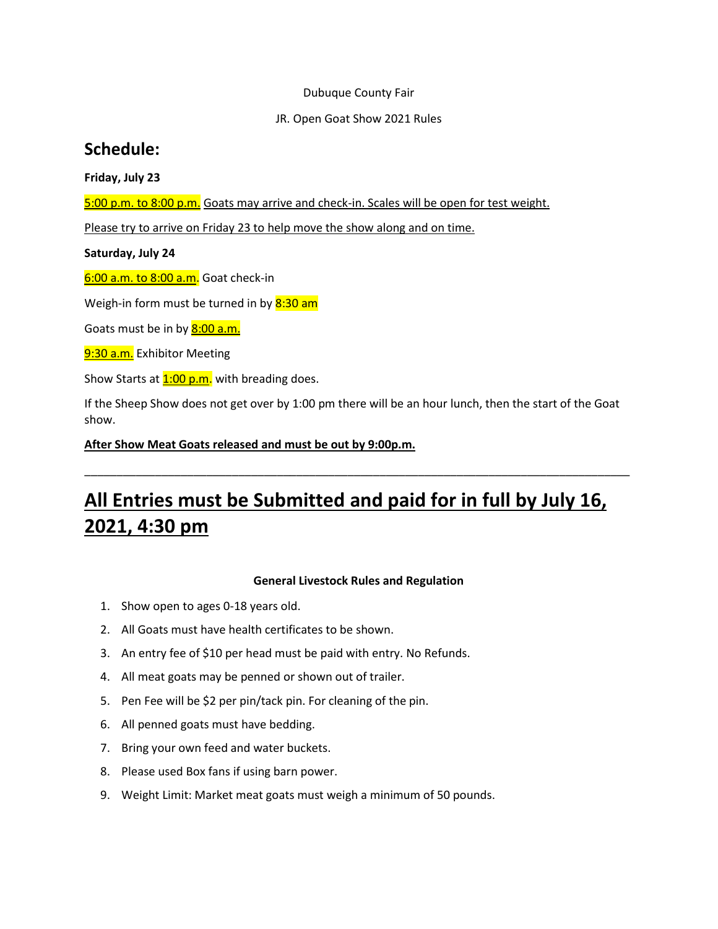# Dubuque County Fair

# JR. Open Goat Show 2021 Rules

# **Schedule:**

# **Friday, July 23**

5:00 p.m. to 8:00 p.m. Goats may arrive and check-in. Scales will be open for test weight.

Please try to arrive on Friday 23 to help move the show along and on time.

# **Saturday, July 24**

6:00 a.m. to 8:00 a.m. Goat check-in

Weigh-in form must be turned in by  $8:30$  am

Goats must be in by **8:00 a.m.** 

9:30 a.m. Exhibitor Meeting

Show Starts at  $1:00$  p.m. with breading does.

If the Sheep Show does not get over by 1:00 pm there will be an hour lunch, then the start of the Goat show.

\_\_\_\_\_\_\_\_\_\_\_\_\_\_\_\_\_\_\_\_\_\_\_\_\_\_\_\_\_\_\_\_\_\_\_\_\_\_\_\_\_\_\_\_\_\_\_\_\_\_\_\_\_\_\_\_\_\_\_\_\_\_\_\_\_\_\_\_\_\_\_\_\_\_\_\_\_\_\_\_\_\_\_\_\_

**After Show Meat Goats released and must be out by 9:00p.m.**

# **All Entries must be Submitted and paid for in full by July 16, 2021, 4:30 pm**

# **General Livestock Rules and Regulation**

- 1. Show open to ages 0-18 years old.
- 2. All Goats must have health certificates to be shown.
- 3. An entry fee of \$10 per head must be paid with entry. No Refunds.
- 4. All meat goats may be penned or shown out of trailer.
- 5. Pen Fee will be \$2 per pin/tack pin. For cleaning of the pin.
- 6. All penned goats must have bedding.
- 7. Bring your own feed and water buckets.
- 8. Please used Box fans if using barn power.
- 9. Weight Limit: Market meat goats must weigh a minimum of 50 pounds.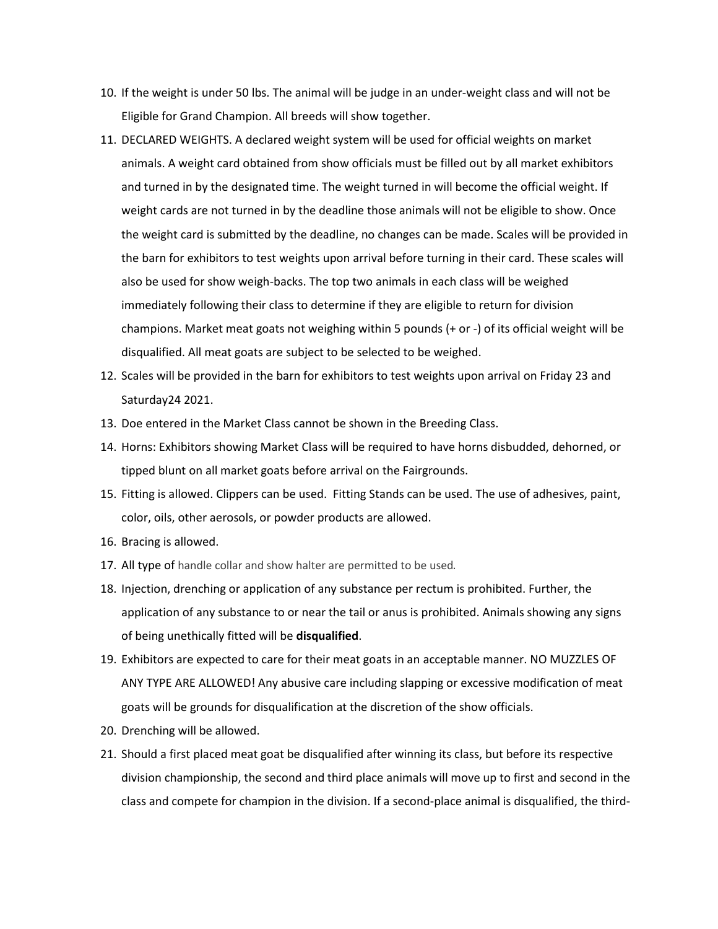- 10. If the weight is under 50 lbs. The animal will be judge in an under-weight class and will not be Eligible for Grand Champion. All breeds will show together.
- 11. DECLARED WEIGHTS. A declared weight system will be used for official weights on market animals. A weight card obtained from show officials must be filled out by all market exhibitors and turned in by the designated time. The weight turned in will become the official weight. If weight cards are not turned in by the deadline those animals will not be eligible to show. Once the weight card is submitted by the deadline, no changes can be made. Scales will be provided in the barn for exhibitors to test weights upon arrival before turning in their card. These scales will also be used for show weigh-backs. The top two animals in each class will be weighed immediately following their class to determine if they are eligible to return for division champions. Market meat goats not weighing within 5 pounds (+ or -) of its official weight will be disqualified. All meat goats are subject to be selected to be weighed.
- 12. Scales will be provided in the barn for exhibitors to test weights upon arrival on Friday 23 and Saturday24 2021.
- 13. Doe entered in the Market Class cannot be shown in the Breeding Class.
- 14. Horns: Exhibitors showing Market Class will be required to have horns disbudded, dehorned, or tipped blunt on all market goats before arrival on the Fairgrounds.
- 15. Fitting is allowed. Clippers can be used. Fitting Stands can be used. The use of adhesives, paint, color, oils, other aerosols, or powder products are allowed.
- 16. Bracing is allowed.
- 17. All type of handle collar and show halter are permitted to be used.
- 18. Injection, drenching or application of any substance per rectum is prohibited. Further, the application of any substance to or near the tail or anus is prohibited. Animals showing any signs of being unethically fitted will be **disqualified**.
- 19. Exhibitors are expected to care for their meat goats in an acceptable manner. NO MUZZLES OF ANY TYPE ARE ALLOWED! Any abusive care including slapping or excessive modification of meat goats will be grounds for disqualification at the discretion of the show officials.
- 20. Drenching will be allowed.
- 21. Should a first placed meat goat be disqualified after winning its class, but before its respective division championship, the second and third place animals will move up to first and second in the class and compete for champion in the division. If a second-place animal is disqualified, the third-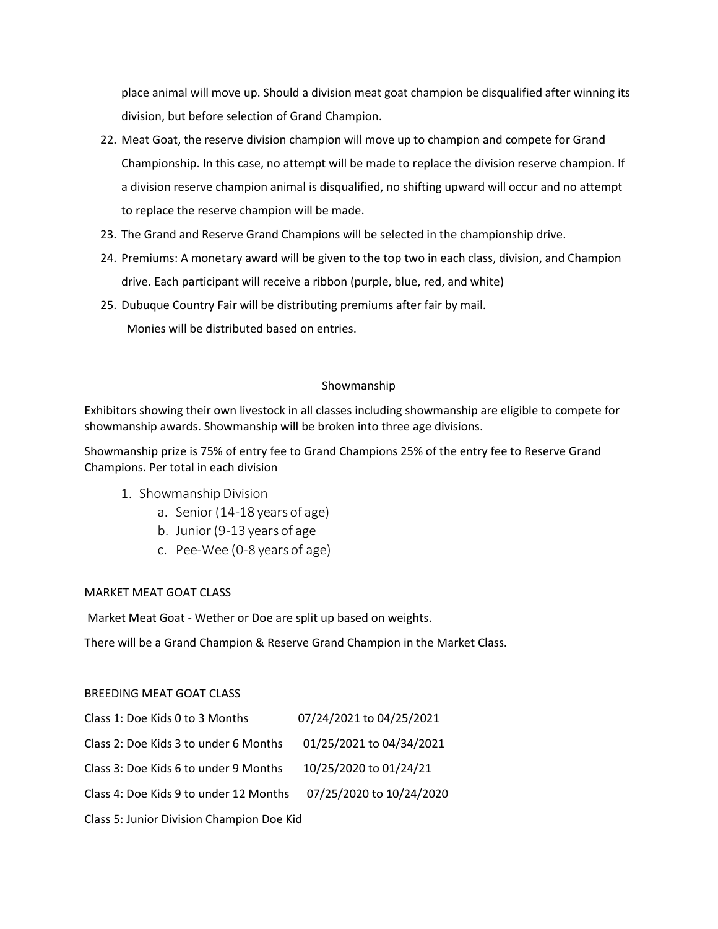place animal will move up. Should a division meat goat champion be disqualified after winning its division, but before selection of Grand Champion.

- 22. Meat Goat, the reserve division champion will move up to champion and compete for Grand Championship. In this case, no attempt will be made to replace the division reserve champion. If a division reserve champion animal is disqualified, no shifting upward will occur and no attempt to replace the reserve champion will be made.
- 23. The Grand and Reserve Grand Champions will be selected in the championship drive.
- 24. Premiums: A monetary award will be given to the top two in each class, division, and Champion drive. Each participant will receive a ribbon (purple, blue, red, and white)
- 25. Dubuque Country Fair will be distributing premiums after fair by mail. Monies will be distributed based on entries.

# Showmanship

Exhibitors showing their own livestock in all classes including showmanship are eligible to compete for showmanship awards. Showmanship will be broken into three age divisions.

Showmanship prize is 75% of entry fee to Grand Champions 25% of the entry fee to Reserve Grand Champions. Per total in each division

- 1. Showmanship Division
	- a. Senior (14-18 years of age)
	- b. Junior (9-13 years of age
	- c. Pee-Wee (0-8 years of age)

# MARKET MEAT GOAT CLASS

Market Meat Goat - Wether or Doe are split up based on weights.

There will be a Grand Champion & Reserve Grand Champion in the Market Class.

# BREEDING MEAT GOAT CLASS

| Class 1: Doe Kids 0 to 3 Months           | 07/24/2021 to 04/25/2021 |
|-------------------------------------------|--------------------------|
| Class 2: Doe Kids 3 to under 6 Months     | 01/25/2021 to 04/34/2021 |
| Class 3: Doe Kids 6 to under 9 Months     | 10/25/2020 to 01/24/21   |
| Class 4: Doe Kids 9 to under 12 Months    | 07/25/2020 to 10/24/2020 |
| Class 5: Junior Division Champion Doe Kid |                          |